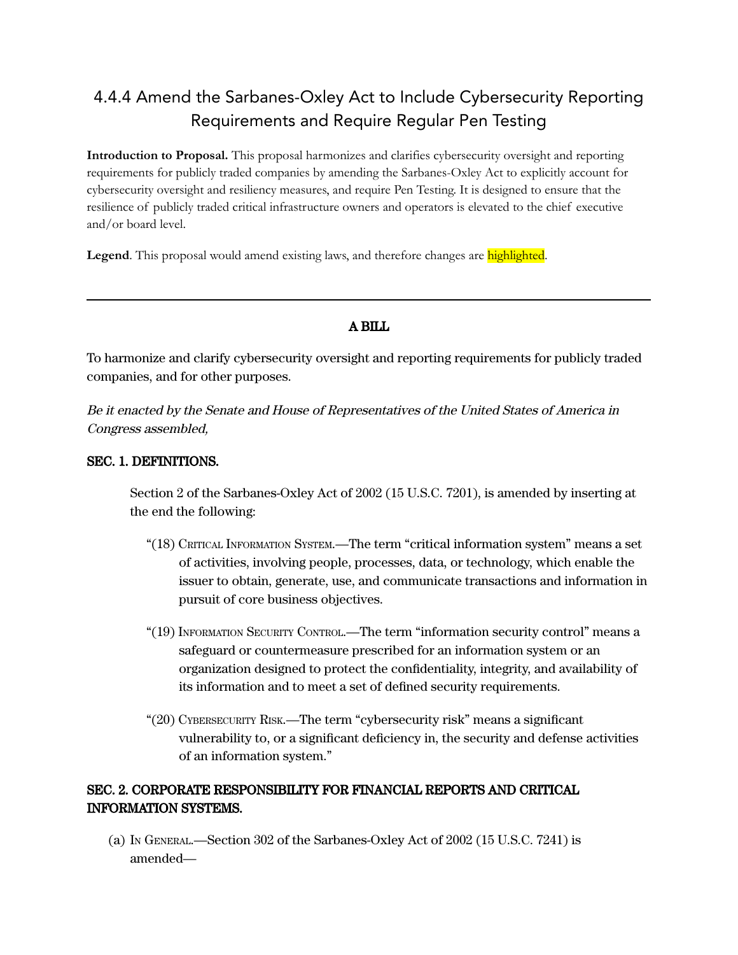# 4.4.4 Amend the Sarbanes-Oxley Act to Include Cybersecurity Reporting Requirements and Require Regular Pen Testing

**Introduction to Proposal.** This proposal harmonizes and clarifies cybersecurity oversight and reporting requirements for publicly traded companies by amending the Sarbanes-Oxley Act to explicitly account for cybersecurity oversight and resiliency measures, and require Pen Testing. It is designed to ensure that the resilience of publicly traded critical infrastructure owners and operators is elevated to the chief executive and/or board level.

**Legend**. This proposal would amend existing laws, and therefore changes are highlighted.

#### A BILL

To harmonize and clarify cybersecurity oversight and reporting requirements for publicly traded companies, and for other purposes.

Be it enacted by the Senate and House of Representatives of the United States of America in Congress assembled,

#### SEC. 1. DEFINITIONS.

Section 2 of the Sarbanes-Oxley Act of 2002 (15 U.S.C. 7201), is amended by inserting at the end the following:

- "(18) CRITICAL INFORMATION SYSTEM.—The term "critical information system" means a set of activities, involving people, processes, data, or technology, which enable the issuer to obtain, generate, use, and communicate transactions and information in pursuit of core business objectives.
- "(19) INFORMATION SECURITY CONTROL.—The term "information security control" means a safeguard or countermeasure prescribed for an information system or an organization designed to protect the confidentiality, integrity, and availability of its information and to meet a set of defined security requirements.
- "(20) CYBERSECURITY RISK.—The term "cybersecurity risk" means a significant vulnerability to, or a significant deficiency in, the security and defense activities of an information system."

### SEC. 2. CORPORATE RESPONSIBILITY FOR FINANCIAL REPORTS AND CRITICAL INFORMATION SYSTEMS.

(a) I<sup>N</sup> GENERAL.—Section 302 of the Sarbanes-Oxley Act of 2002 (15 U.S.C. 7241) is amended—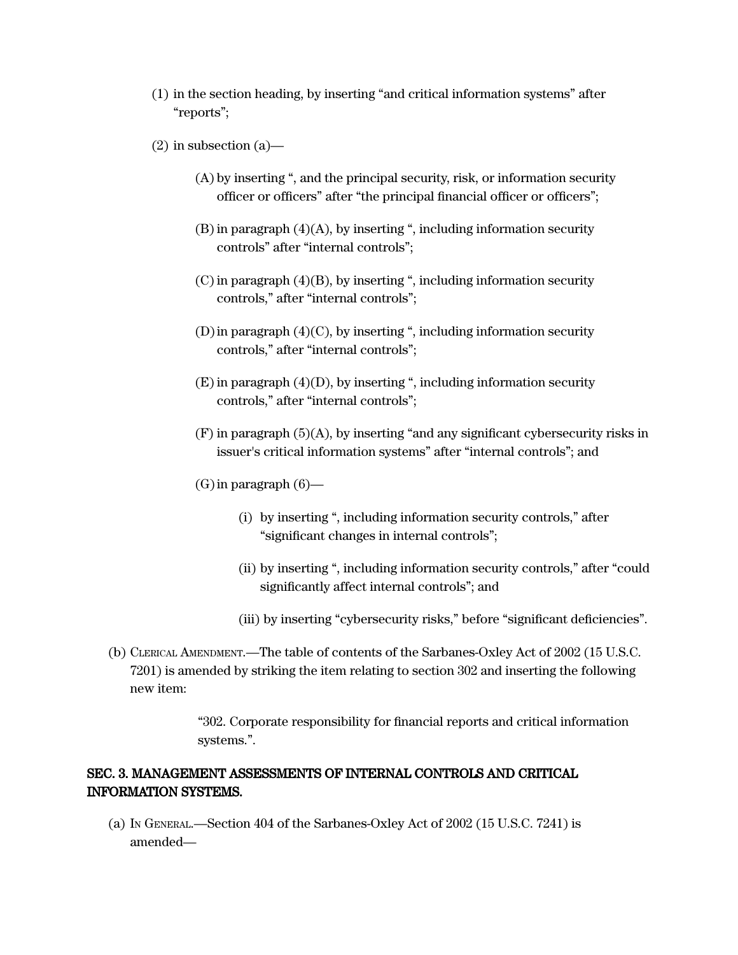- (1) in the section heading, by inserting "and critical information systems" after "reports";
- $(2)$  in subsection  $(a)$ 
	- (A) by inserting ", and the principal security, risk, or information security officer or officers" after "the principal financial officer or officers";
	- $(B)$  in paragraph  $(4)(A)$ , by inserting ", including information security controls" after "internal controls";
	- $(C)$  in paragraph  $(4)(B)$ , by inserting ", including information security controls," after "internal controls";
	- (D)in paragraph (4)(C), by inserting ", including information security controls," after "internal controls";
	- $(E)$  in paragraph  $(4)(D)$ , by inserting ", including information security controls," after "internal controls";
	- (F) in paragraph (5)(A), by inserting "and any significant cybersecurity risks in issuer's critical information systems" after "internal controls"; and
	- $(G)$  in paragraph  $(6)$ 
		- (i) by inserting ", including information security controls," after "significant changes in internal controls";
		- (ii) by inserting ", including information security controls," after "could significantly affect internal controls"; and
		- (iii) by inserting "cybersecurity risks," before "significant deficiencies".
- (b) CLERICAL AMENDMENT.—The table of contents of the Sarbanes-Oxley Act of 2002 (15 U.S.C. 7201) is amended by striking the item relating to section 302 and inserting the following new item:

"302. Corporate responsibility for financial reports and critical information systems.".

#### SEC. 3. MANAGEMENT ASSESSMENTS OF INTERNAL CONTROLS AND CRITICAL INFORMATION SYSTEMS.

(a) I<sup>N</sup> GENERAL.—Section 404 of the Sarbanes-Oxley Act of 2002 (15 U.S.C. 7241) is amended—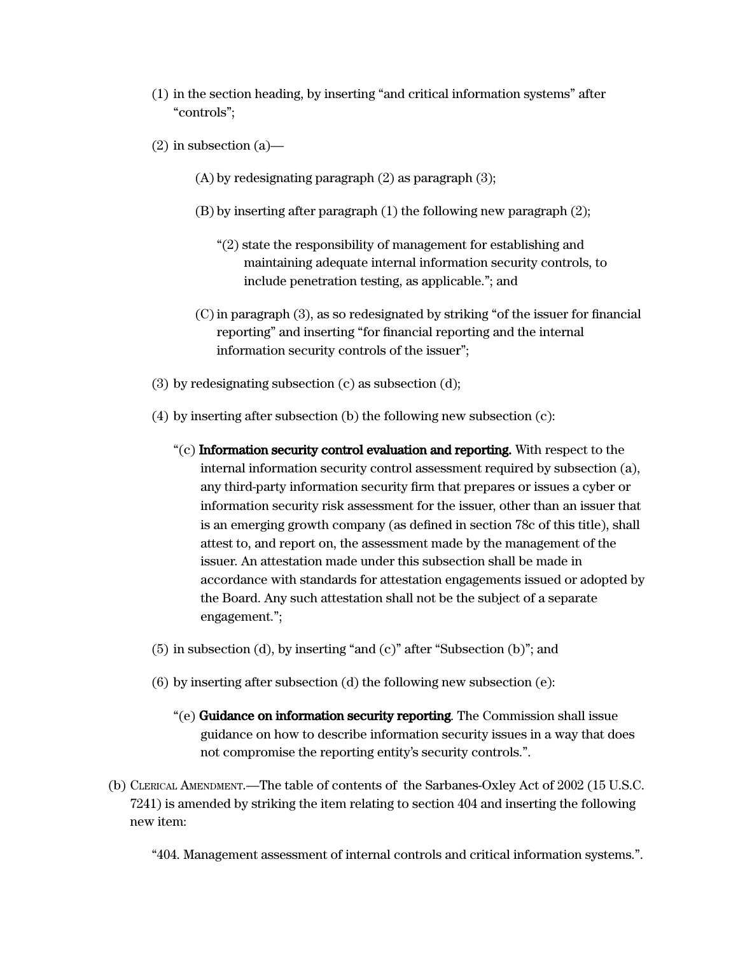- (1) in the section heading, by inserting "and critical information systems" after "controls";
- $(2)$  in subsection  $(a)$ 
	- (A) by redesignating paragraph (2) as paragraph (3);
	- (B) by inserting after paragraph (1) the following new paragraph (2);
		- "(2) state the responsibility of management for establishing and maintaining adequate internal information security controls, to include penetration testing, as applicable."; and
	- $(C)$  in paragraph  $(3)$ , as so redesignated by striking "of the issuer for financial reporting" and inserting "for financial reporting and the internal information security controls of the issuer";
- (3) by redesignating subsection (c) as subsection (d);
- (4) by inserting after subsection (b) the following new subsection (c):
	- $\degree$ (c) Information security control evaluation and reporting. With respect to the internal information security control assessment required by subsection (a), any third-party information security firm that prepares or issues a cyber or information security risk assessment for the issuer, other than an issuer that is an emerging growth company (as defined in section 78c of this title), shall attest to, and report on, the assessment made by the management of the issuer. An attestation made under this subsection shall be made in accordance with standards for attestation engagements issued or adopted by the Board. Any such attestation shall not be the subject of a separate engagement.";
- (5) in subsection (d), by inserting "and (c)" after "Subsection (b)"; and
- (6) by inserting after subsection (d) the following new subsection (e):
	- "(e) Guidance on information security reporting. The Commission shall issue guidance on how to describe information security issues in a way that does not compromise the reporting entity's security controls.".
- (b) CLERICAL AMENDMENT.—The table of contents of the Sarbanes-Oxley Act of 2002 (15 U.S.C. 7241) is amended by striking the item relating to section 404 and inserting the following new item:

"404. Management assessment of internal controls and critical information systems.".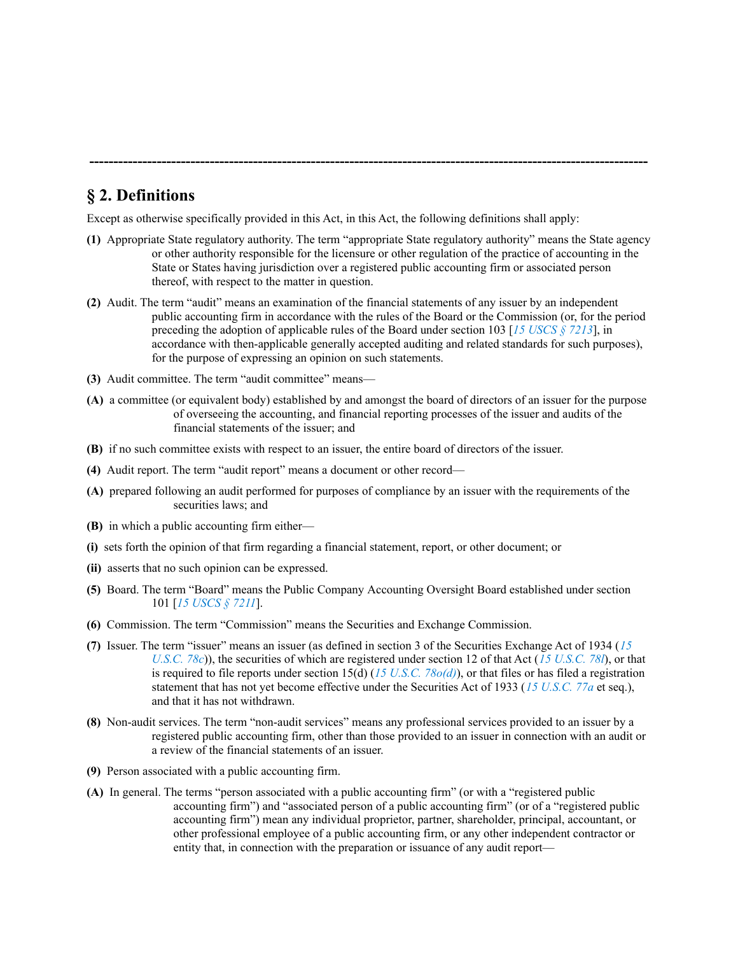## **§ 2. Definitions**

Except as otherwise specifically provided in this Act, in this Act, the following definitions shall apply:

**(1)** Appropriate State regulatory authority. The term "appropriate State regulatory authority" means the State agency or other authority responsible for the licensure or other regulation of the practice of accounting in the State or States having jurisdiction over a registered public accounting firm or associated person thereof, with respect to the matter in question.

**--------------------------------------------------------------------------------------------------------------------**

- **(2)** Audit. The term "audit" means an examination of the financial statements of any issuer by an independent public accounting firm in accordance with the rules of the Board or the Commission (or, for the period preceding the adoption of applicable rules of the Board under section 103 [*15 [USCS](https://advance.lexis.com/api/document?collection=statutes-legislation&id=urn:contentItem:8S9D-W4W2-8T6X-736X-00000-00&context=) § 7213*], in accordance with then-applicable generally accepted auditing and related standards for such purposes), for the purpose of expressing an opinion on such statements.
- **(3)** Audit committee. The term "audit committee" means—
- **(A)** a committee (or equivalent body) established by and amongst the board of directors of an issuer for the purpose of overseeing the accounting, and financial reporting processes of the issuer and audits of the financial statements of the issuer; and
- **(B)** if no such committee exists with respect to an issuer, the entire board of directors of the issuer.
- **(4)** Audit report. The term "audit report" means a document or other record—
- **(A)** prepared following an audit performed for purposes of compliance by an issuer with the requirements of the securities laws; and
- **(B)** in which a public accounting firm either—
- **(i)** sets forth the opinion of that firm regarding a financial statement, report, or other document; or
- **(ii)** asserts that no such opinion can be expressed.
- **(5)** Board. The term "Board" means the Public Company Accounting Oversight Board established under section 101 [*15 [USCS](https://advance.lexis.com/api/document?collection=statutes-legislation&id=urn:contentItem:8S9D-W4W2-8T6X-736V-00000-00&context=) § 7211*].
- **(6)** Commission. The term "Commission" means the Securities and Exchange Commission.
- **(7)** Issuer. The term "issuer" means an issuer (as defined in section 3 of the Securities Exchange Act of 1934 (*[15](https://advance.lexis.com/api/document?collection=statutes-legislation&id=urn:contentItem:8S9D-W4W2-8T6X-7000-00000-00&context=) [U.S.C.](https://advance.lexis.com/api/document?collection=statutes-legislation&id=urn:contentItem:8S9D-W4W2-8T6X-7000-00000-00&context=) 78c*)), the securities of which are registered under section 12 of that Act (*15 [U.S.C.](https://advance.lexis.com/api/document?collection=statutes-legislation&id=urn:contentItem:8S9D-W4W2-8T6X-7010-00000-00&context=) 78l*), or that is required to file reports under section 15(d) (*15 U.S.C. [78o\(d\)](https://advance.lexis.com/api/document?collection=statutes-legislation&id=urn:contentItem:8S9D-W4W2-8T6X-7018-00000-00&context=)*), or that files or has filed a registration statement that has not yet become effective under the Securities Act of 1933 (*15 [U.S.C.](https://advance.lexis.com/api/document?collection=statutes-legislation&id=urn:contentItem:8S9D-W4V2-8T6X-753D-00000-00&context=) 77a* et seq.), and that it has not withdrawn.
- **(8)** Non-audit services. The term "non-audit services" means any professional services provided to an issuer by a registered public accounting firm, other than those provided to an issuer in connection with an audit or a review of the financial statements of an issuer.
- **(9)** Person associated with a public accounting firm.
- **(A)** In general. The terms "person associated with a public accounting firm" (or with a "registered public accounting firm") and "associated person of a public accounting firm" (or of a "registered public accounting firm") mean any individual proprietor, partner, shareholder, principal, accountant, or other professional employee of a public accounting firm, or any other independent contractor or entity that, in connection with the preparation or issuance of any audit report—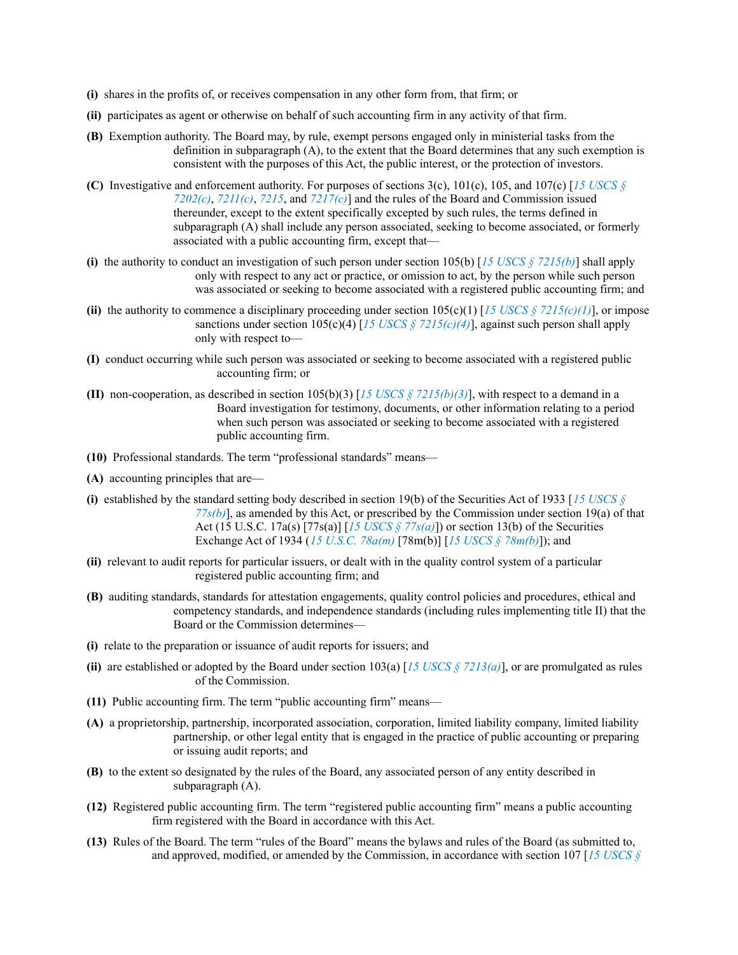- **(i)** shares in the profits of, or receives compensation in any other form from, that firm; or
- **(ii)** participates as agent or otherwise on behalf of such accounting firm in any activity of that firm.
- **(B)** Exemption authority. The Board may, by rule, exempt persons engaged only in ministerial tasks from the definition in subparagraph (A), to the extent that the Board determines that any such exemption is consistent with the purposes of this Act, the public interest, or the protection of investors.
- **(C)** Investigative and enforcement authority. For purposes of sections 3(c), 101(c), 105, and 107(c) [*15 [USCS](https://advance.lexis.com/api/document?collection=statutes-legislation&id=urn:contentItem:8S9D-W4W2-8T6X-736S-00000-00&context=) § [7202\(c\)](https://advance.lexis.com/api/document?collection=statutes-legislation&id=urn:contentItem:8S9D-W4W2-8T6X-736S-00000-00&context=)*, *[7211\(c\)](https://advance.lexis.com/api/document?collection=statutes-legislation&id=urn:contentItem:8S9D-W4W2-8T6X-736V-00000-00&context=)*, *[7215](https://advance.lexis.com/api/document?collection=statutes-legislation&id=urn:contentItem:8S9D-W4W2-8T6X-7370-00000-00&context=)*, and *[7217\(c\)](https://advance.lexis.com/api/document?collection=statutes-legislation&id=urn:contentItem:8S9D-W4W2-8T6X-7372-00000-00&context=)*] and the rules of the Board and Commission issued thereunder, except to the extent specifically excepted by such rules, the terms defined in subparagraph (A) shall include any person associated, seeking to become associated, or formerly associated with a public accounting firm, except that—
- **(i)** the authority to conduct an investigation of such person under section 105(b) [15 *USCS*  $\frac{5}{2}$  *[7215\(b\)](https://advance.lexis.com/api/document?collection=statutes-legislation&id=urn:contentItem:8S9D-W4W2-8T6X-7370-00000-00&context=)*] shall apply only with respect to any act or practice, or omission to act, by the person while such person was associated or seeking to become associated with a registered public accounting firm; and
- **(ii)** the authority to commence a disciplinary proceeding under section  $105(c)(1)$  [15 *USCS*  $\frac{8}{3}$  *[7215\(c\)\(1\)](https://advance.lexis.com/api/document?collection=statutes-legislation&id=urn:contentItem:8S9D-W4W2-8T6X-7370-00000-00&context=)*], or impose sanctions under section  $105(c)(4)$  [15 *USCS § [7215\(c\)\(4\)](https://advance.lexis.com/api/document?collection=statutes-legislation&id=urn:contentItem:8S9D-W4W2-8T6X-7370-00000-00&context=)*], against such person shall apply only with respect to—
- **(I)** conduct occurring while such person was associated or seeking to become associated with a registered public accounting firm; or
- **(II)** non-cooperation, as described in section 105(b)(3) [15 *USCS*  $\frac{57215(b)(3)}{3}$  $\frac{57215(b)(3)}{3}$  $\frac{57215(b)(3)}{3}$ , with respect to a demand in a Board investigation for testimony, documents, or other information relating to a period when such person was associated or seeking to become associated with a registered public accounting firm.
- **(10)** Professional standards. The term "professional standards" means—
- **(A)** accounting principles that are—
- **(i)** established by the standard setting body described in section 19(b) of the Securities Act of 1933 [*15 [USCS](https://advance.lexis.com/api/document?collection=statutes-legislation&id=urn:contentItem:8S9D-W4V2-8T6X-7546-00000-00&context=) § [77s\(b\)](https://advance.lexis.com/api/document?collection=statutes-legislation&id=urn:contentItem:8S9D-W4V2-8T6X-7546-00000-00&context=)*], as amended by this Act, or prescribed by the Commission under section 19(a) of that Act (15 U.S.C. 17a(s) [77s(a)] [*15 USCS § [77s\(a\)](https://advance.lexis.com/api/document?collection=statutes-legislation&id=urn:contentItem:8S9D-W4V2-8T6X-7546-00000-00&context=)*]) or section 13(b) of the Securities Exchange Act of 1934 (*15 U.S.C. [78a\(m\)](https://advance.lexis.com/api/document?collection=statutes-legislation&id=urn:contentItem:8S9D-W4V2-8T6X-7566-00000-00&context=)* [78m(b)] [*15 USCS § [78m\(b\)](https://advance.lexis.com/api/document?collection=statutes-legislation&id=urn:contentItem:8S9D-W4W2-8T6X-7012-00000-00&context=)*]); and
- **(ii)** relevant to audit reports for particular issuers, or dealt with in the quality control system of a particular registered public accounting firm; and
- **(B)** auditing standards, standards for attestation engagements, quality control policies and procedures, ethical and competency standards, and independence standards (including rules implementing title II) that the Board or the Commission determines—
- **(i)** relate to the preparation or issuance of audit reports for issuers; and
- **(ii)** are established or adopted by the Board under section  $103(a)$  [15 *USCS*  $\zeta$  *[7213\(a\)](https://advance.lexis.com/api/document?collection=statutes-legislation&id=urn:contentItem:8S9D-W4W2-8T6X-736X-00000-00&context=)*], or are promulgated as rules of the Commission.
- **(11)** Public accounting firm. The term "public accounting firm" means—
- **(A)** a proprietorship, partnership, incorporated association, corporation, limited liability company, limited liability partnership, or other legal entity that is engaged in the practice of public accounting or preparing or issuing audit reports; and
- **(B)** to the extent so designated by the rules of the Board, any associated person of any entity described in subparagraph (A).
- **(12)** Registered public accounting firm. The term "registered public accounting firm" means a public accounting firm registered with the Board in accordance with this Act.
- **(13)** Rules of the Board. The term "rules of the Board" means the bylaws and rules of the Board (as submitted to, and approved, modified, or amended by the Commission, in accordance with section 107 [*15 [USCS](https://advance.lexis.com/api/document?collection=statutes-legislation&id=urn:contentItem:8S9D-W4W2-8T6X-7372-00000-00&context=) §*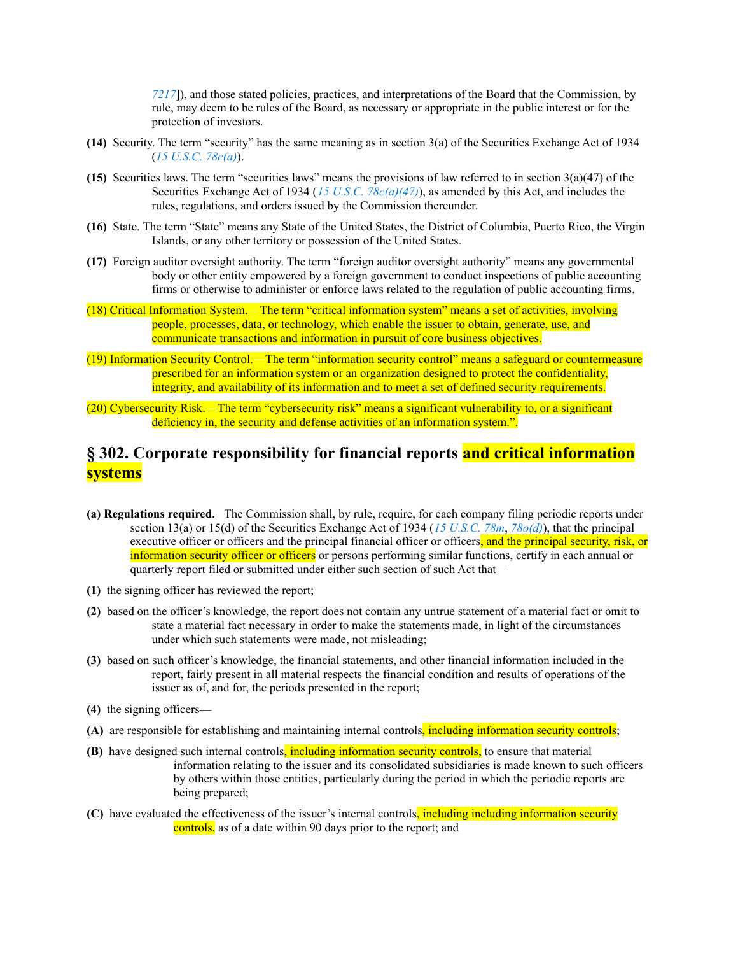*[7217](https://advance.lexis.com/api/document?collection=statutes-legislation&id=urn:contentItem:8S9D-W4W2-8T6X-7372-00000-00&context=)*]), and those stated policies, practices, and interpretations of the Board that the Commission, by rule, may deem to be rules of the Board, as necessary or appropriate in the public interest or for the protection of investors.

- **(14)** Security. The term "security" has the same meaning as in section 3(a) of the Securities Exchange Act of 1934 (*15 [U.S.C.](https://advance.lexis.com/api/document?collection=statutes-legislation&id=urn:contentItem:8S9D-W4W2-8T6X-7000-00000-00&context=) 78c(a)*).
- **(15)** Securities laws. The term "securities laws" means the provisions of law referred to in section 3(a)(47) of the Securities Exchange Act of 1934 (*15 U.S.C. [78c\(a\)\(47\)](https://advance.lexis.com/api/document?collection=statutes-legislation&id=urn:contentItem:8S9D-W4W2-8T6X-7000-00000-00&context=)*), as amended by this Act, and includes the rules, regulations, and orders issued by the Commission thereunder.
- **(16)** State. The term "State" means any State of the United States, the District of Columbia, Puerto Rico, the Virgin Islands, or any other territory or possession of the United States.
- **(17)** Foreign auditor oversight authority. The term "foreign auditor oversight authority" means any governmental body or other entity empowered by a foreign government to conduct inspections of public accounting firms or otherwise to administer or enforce laws related to the regulation of public accounting firms.
- (18) Critical Information System.—The term "critical information system" means a set of activities, involving people, processes, data, or technology, which enable the issuer to obtain, generate, use, and communicate transactions and information in pursuit of core business objectives.
- (19) Information Security Control.—The term "information security control" means a safeguard or countermeasure prescribed for an information system or an organization designed to protect the confidentiality, integrity, and availability of its information and to meet a set of defined security requirements.
- (20) Cybersecurity Risk.—The term "cybersecurity risk" means a significant vulnerability to, or a significant deficiency in, the security and defense activities of an information system.".

## **§ 302. Corporate responsibility for financial reports and critical information systems**

- **(a) Regulations required.** The Commission shall, by rule, require, for each company filing periodic reports under section 13(a) or 15(d) of the Securities Exchange Act of 1934 (*15 [U.S.C.](https://advance.lexis.com/api/document?collection=statutes-legislation&id=urn:contentItem:8S9D-W4W2-8T6X-7012-00000-00&context=) 78m*, *[78o\(d\)](https://advance.lexis.com/api/document?collection=statutes-legislation&id=urn:contentItem:8S9D-W4W2-8T6X-7018-00000-00&context=)*), that the principal executive officer or officers and the principal financial officer or officers, and the principal security, risk, or information security officer or officers or persons performing similar functions, certify in each annual or quarterly report filed or submitted under either such section of such Act that—
- **(1)** the signing officer has reviewed the report;
- **(2)** based on the officer's knowledge, the report does not contain any untrue statement of a material fact or omit to state a material fact necessary in order to make the statements made, in light of the circumstances under which such statements were made, not misleading;
- **(3)** based on such officer's knowledge, the financial statements, and other financial information included in the report, fairly present in all material respects the financial condition and results of operations of the issuer as of, and for, the periods presented in the report;
- **(4)** the signing officers—
- **(A)** are responsible for establishing and maintaining internal controls, including information security controls;
- **(B)** have designed such internal controls, including information security controls, to ensure that material information relating to the issuer and its consolidated subsidiaries is made known to such officers by others within those entities, particularly during the period in which the periodic reports are being prepared;
- **(C)** have evaluated the effectiveness of the issuer's internal controls, including including information security controls, as of a date within 90 days prior to the report; and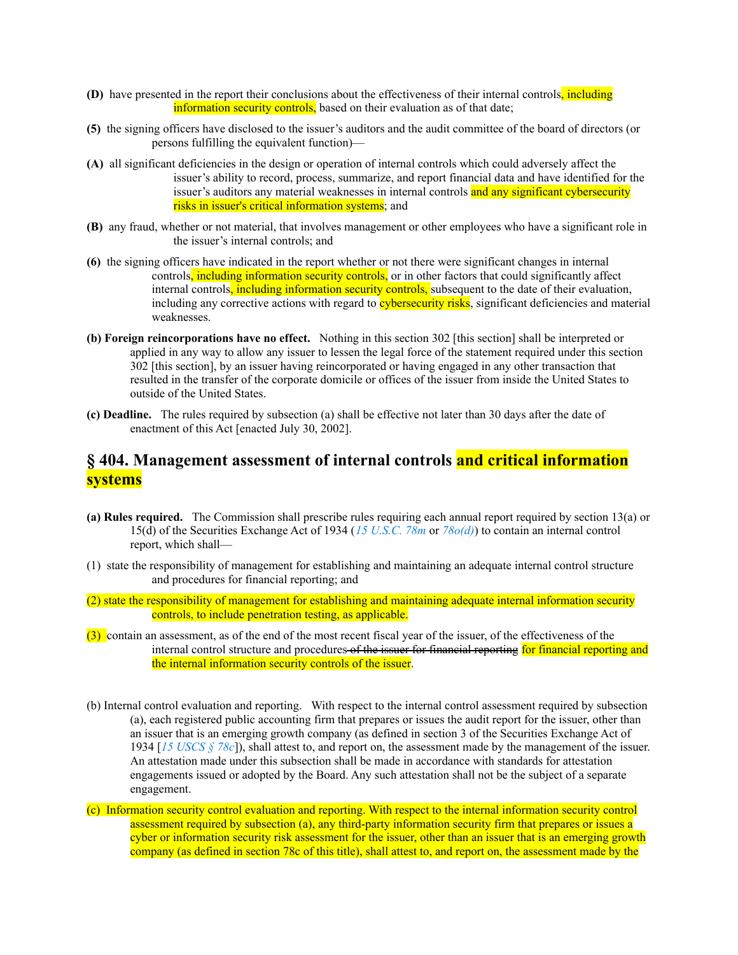- **(D)** have presented in the report their conclusions about the effectiveness of their internal controls, including information security controls, based on their evaluation as of that date:
- **(5)** the signing officers have disclosed to the issuer's auditors and the audit committee of the board of directors (or persons fulfilling the equivalent function)—
- **(A)** all significant deficiencies in the design or operation of internal controls which could adversely affect the issuer's ability to record, process, summarize, and report financial data and have identified for the issuer's auditors any material weaknesses in internal controls and any significant cybersecurity risks in issuer's critical information systems; and
- **(B)** any fraud, whether or not material, that involves management or other employees who have a significant role in the issuer's internal controls; and
- **(6)** the signing officers have indicated in the report whether or not there were significant changes in internal controls, including information security controls, or in other factors that could significantly affect internal controls, including information security controls, subsequent to the date of their evaluation, including any corrective actions with regard to **cybersecurity risks**, significant deficiencies and material weaknesses.
- **(b) Foreign reincorporations have no effect.** Nothing in this section 302 [this section] shall be interpreted or applied in any way to allow any issuer to lessen the legal force of the statement required under this section 302 [this section], by an issuer having reincorporated or having engaged in any other transaction that resulted in the transfer of the corporate domicile or offices of the issuer from inside the United States to outside of the United States.
- **(c) Deadline.** The rules required by subsection (a) shall be effective not later than 30 days after the date of enactment of this Act [enacted July 30, 2002].

## **§ 404. Management assessment of internal controls and critical information systems**

- **(a) Rules required.** The Commission shall prescribe rules requiring each annual report required by section 13(a) or 15(d) of the Securities Exchange Act of 1934 (*15 [U.S.C.](https://advance.lexis.com/api/document?collection=statutes-legislation&id=urn:contentItem:8S9D-W4W2-8T6X-7012-00000-00&context=) 78m* or *[78o\(d\)](https://advance.lexis.com/api/document?collection=statutes-legislation&id=urn:contentItem:8S9D-W4W2-8T6X-7018-00000-00&context=)*) to contain an internal control report, which shall—
- (1) state the responsibility of management for establishing and maintaining an adequate internal control structure and procedures for financial reporting; and
- (2) state the responsibility of management for establishing and maintaining adequate internal information security controls, to include penetration testing, as applicable.
- (3) contain an assessment, as of the end of the most recent fiscal year of the issuer, of the effectiveness of the internal control structure and procedures of the issuer for financial reporting for financial reporting and the internal information security controls of the issuer.
- (b) Internal control evaluation and reporting. With respect to the internal control assessment required by subsection (a), each registered public accounting firm that prepares or issues the audit report for the issuer, other than an issuer that is an emerging growth company (as defined in section 3 of the Securities Exchange Act of 1934 [*15 [USCS](https://advance.lexis.com/api/document?collection=statutes-legislation&id=urn:contentItem:8S9D-W4W2-8T6X-7000-00000-00&context=) § 78c*]), shall attest to, and report on, the assessment made by the management of the issuer. An attestation made under this subsection shall be made in accordance with standards for attestation engagements issued or adopted by the Board. Any such attestation shall not be the subject of a separate engagement.
- (c) Information security control evaluation and reporting. With respect to the internal information security control assessment required by subsection (a), any third-party information security firm that prepares or issues a cyber or information security risk assessment for the issuer, other than an issuer that is an emerging growth company (as defined in section 78c of this title), shall attest to, and report on, the assessment made by the